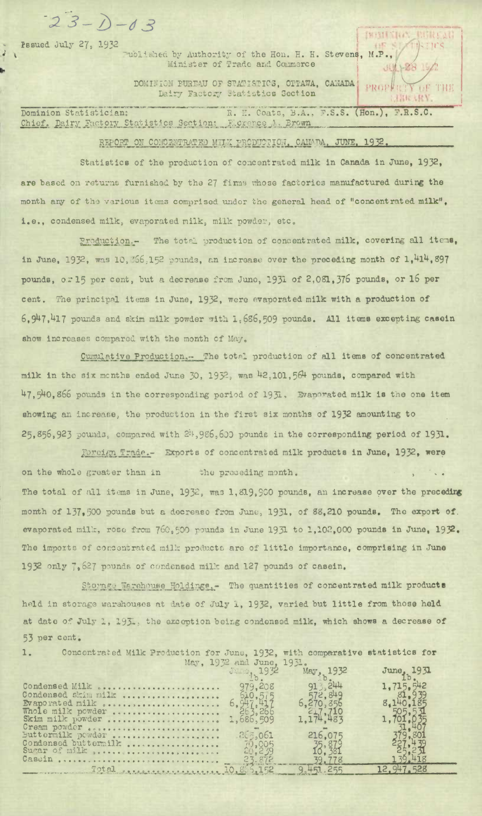wolished by Authority of the Hon. H. H. Stevens, M.P., Minister of Trade and Commerce JU 1-28 DOMINION BUREAU OF STATISTICS, OTTAWA, CANADA OF THE PROPE Dairy Factory Statistics Section R. H. Coats, B.A., F.S.S. (Hon.), Dominion Statistician:  $F.R.S.C.$ Chief, Dairy Factory Statistics Section: Ecrerce 1. Brown

**DOM: YES** 

 $\mathbb{R}^n \times \mathbb{R}^n$  .

 $(23-1)-13$ 

Pssued July 27, 1932

REPORT ON COMOENTRATED MILK PRODUCTION, CARADA, JUNE, 1932,

Statistics of the production of concentrated milk in Canada in June, 1932, are based on returns furnished by the 27 firms whose factories manufactured during the month any of the various items comprised under the general head of "concentrated milk", i.e., condensed milk, evaporated milk, milk powder, etc.

Production.- The total production of concentrated milk, covering all items, in June, 1932, was 10, 366, 152 pounds, an increase over the preceding month of 1,414, 897 pounds, or 15 per cent, but a decrease from June, 1931 of 2,081, 376 pounds, or 16 per cent. The principal items in June, 1932, were evaporated milk with a production of 6.947,417 pounds and skim milk powder with 1.686,509 pounds. All items excepting casein show increases compared with the month of May.

Cumulative Production.- The total production of all items of concentrated milk in the six months ended June 30, 1932, was 42,101,564 pounds, compared with 47,540,866 pounds in the corresponding period of 1931. Evaporated milk is the one item showing an increase, the production in the first six months of 1932 amounting to 25, 856, 923 pounds, compared with 24, 986, 600 pounds in the corresponding period of 1931.

Foreign Trade.- Exports of concentrated milk products in June, 1932, were on the whole greater than in the preceding month. The total of all items in June, 1932, was 1, 819, 900 pounds, an increase over the preceding month of 137,500 pounds but a decrease from June, 1931, of 88,210 pounds. The export of. evaporated milk, rose from 760,500 pounds in June 1931 to 1,102,000 pounds in June, 1932. The imports of consentrated milk products are of little importance, comprising in June 1932 only 7, 627 pounds of condensed milk and 127 pounds of casein.

Storage Warehouse Holdings.- The quantities of concentrated milk products held in storage warehouses at date of July 1, 1932, varied but little from those held at date of July 1, 1931, the exception being condensed milk, which shows a decrease of 53 per cent.

| $\mathbf{1}$ .<br>Concentrated Milk Production for June, 1932, with comparative statistics for                                                                                  |                                       |            |
|---------------------------------------------------------------------------------------------------------------------------------------------------------------------------------|---------------------------------------|------------|
| May, 1932 and June, 1931.<br>$5 - 2, 1932$                                                                                                                                      | May, 1932                             | June, 1931 |
| 979.208<br>Condensed Milk<br>Condensed skim milk<br>610.575<br>Evaporated milk<br>Whole milk powder<br>263.266                                                                  | 91 / 244<br>572,849                   | 1,715.542  |
| 1,686,509<br>Skim milk powder<br>Cream powder engineer<br>265.061<br>Buttermilk powder<br>Condensed buttermilk<br>20:239<br>Sugar of milk personal conservations of a<br>23.872 | 216.075<br>35,879<br>10.381<br>39.778 |            |
|                                                                                                                                                                                 | 9,451.255                             |            |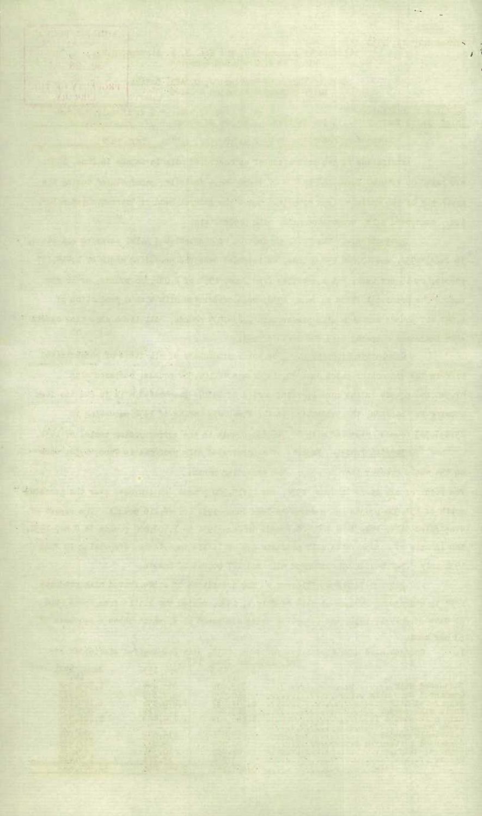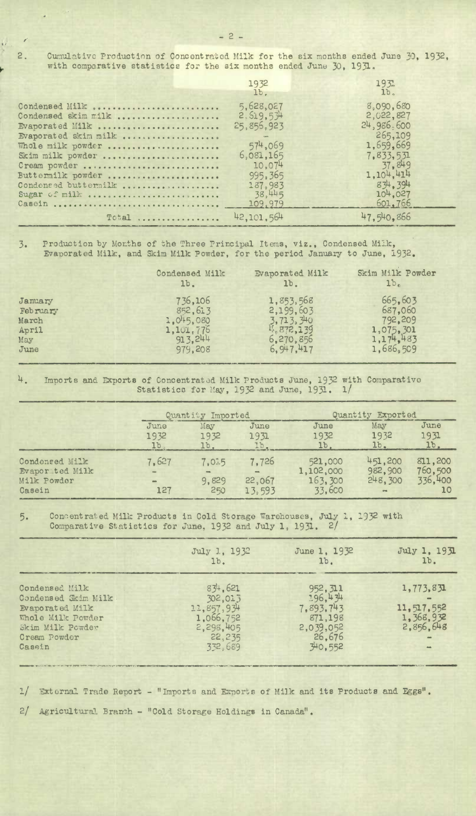Cumulative Production of Concentrated Milk for the six months ended June 30, 1932, with comparative statistics for the six months ended June 30, 1931.

|                                                                                                                                                                                                         | 1932<br>1 <sub>b</sub>                                                                                              | 1931<br>1 <sub>b</sub>                                                                                                            |
|---------------------------------------------------------------------------------------------------------------------------------------------------------------------------------------------------------|---------------------------------------------------------------------------------------------------------------------|-----------------------------------------------------------------------------------------------------------------------------------|
| Condensed Milk<br>Condensed skim milk<br>Evaporated Milk<br>Evaporated skim milk<br>Whole milk powder<br>Skim milk powder<br>Cream powder<br>Buttermilk powder<br>Condensed buttermilk<br>Sugar of milk | 5,628,027<br>2.519.534<br>25, 856, 923<br>574,069<br>6,081,165<br>10.074<br>995.365<br>187.983<br>38,445<br>109,979 | 8,090,680<br>2,022,827<br>24,986,600<br>265,109<br>1,659,669<br>7.833.531<br>37.849<br>1,104,414<br>834.394<br>104,027<br>601.766 |
| Total                                                                                                                                                                                                   | 42,101,564                                                                                                          | 47.540.866                                                                                                                        |

Production by Months of the Three Principal Items, viz., Condensed Milk,  $\overline{3}$ . Evaporated Milk, and Skim Milk Powder, for the period January to June, 1932,

|          | Condensed Milk | Evaporated Milk | Skim Milk Powder |
|----------|----------------|-----------------|------------------|
|          | 1 <sub>b</sub> | 1 <sub>b</sub>  | 1 <sub>b</sub>   |
| Jamary   | 736,106        | 1,853,568       | 665,603          |
| February | 852, 613       | 2,199,603       | 687,060          |
| March    | 1,045,080      | 3,713,740       | 792.209          |
| April    | 1,101,776      | 15.872, 139     | 1,075,301        |
| May      | 913,244        | 6,270,856       | 1,174,483        |
| June     | 979,208        | 6, 947, 417     | 1,686,509        |

## 4. Imports and Exports of Concentrated Milk Products June, 1932 with Comparative Statistics for May, 1932 and June,  $1931. 1/$

|                                                            | Quantity Imported              |                                   | Quantity Exported         |                                           |                                           |                                     |
|------------------------------------------------------------|--------------------------------|-----------------------------------|---------------------------|-------------------------------------------|-------------------------------------------|-------------------------------------|
|                                                            | June<br>1932<br>1 <sub>b</sub> | May<br>1932<br>1 <sub>b</sub>     | June<br>1931<br>$1b$ .    | June<br>1932<br>1 <sub>b</sub>            | May<br>1932<br>1 <sub>b<sub>n</sub></sub> | June<br>1931<br>1 <sub>b</sub>      |
| Condensed Milk<br>Evapor ted Milk<br>Milk Powder<br>Casein | 7.627<br>ant.<br>127           | 7.015<br>$\alpha$<br>9.829<br>250 | 7.726<br>22,067<br>13.593 | 521,000<br>1,102,000<br>163,300<br>33,600 | 451,200<br>982,900<br>248, 300<br>$\sim$  | 811,200<br>760,500<br>336,400<br>10 |

*5.* Concentrated Milk Products in Cold Storage Warehouses, July 1, 132 with Comparative Statistics for June, 1932 and July 1, 1931. 2/

|                                                                                                                              | July 1, 1932                                                                     | June 1, 1932                                                                  | July 1, 1931                                        |
|------------------------------------------------------------------------------------------------------------------------------|----------------------------------------------------------------------------------|-------------------------------------------------------------------------------|-----------------------------------------------------|
|                                                                                                                              | 1 <sub>b</sub>                                                                   | $1b$ .                                                                        | 1 <sub>b</sub>                                      |
| Condensed Milk<br>Condensed Skim Milk.<br>Evaporated Milk<br>Whole Milk Powder<br>Skim Milk Powder<br>Cream Powder<br>Casein | 834,621<br>302,013<br>11,857,934<br>1,066,752<br>2,298,405<br>22, 235<br>332,689 | 952, 311<br>.96,434<br>7.893.743<br>871,198<br>2,039,052<br>26,676<br>340.552 | 1,773,831<br>11, 517, 552<br>1,368,932<br>2,856,648 |

1/ External Trade Report - "Imports and Exports of Milk and its Products and Eggs",

2/ Agricultural. Branh - "Cold Storage Holdings in Canada".

 $2.$